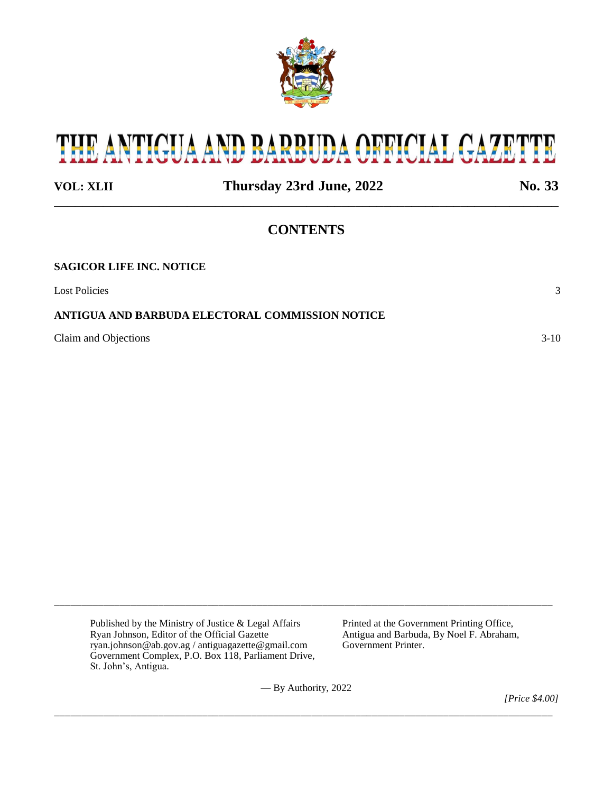

# THE ANTIGUA AND BARBUDA OFFICIAL GAZETTE

**VOL: XLII Thursday 23rd June, 2022 No. 33** \_\_\_\_\_\_\_\_\_\_\_\_\_\_\_\_\_\_\_\_\_\_\_\_\_\_\_\_\_\_\_\_\_\_\_\_\_\_\_\_\_\_\_\_\_\_\_\_\_\_\_\_\_\_\_\_\_\_\_\_\_\_\_\_\_\_\_\_\_\_\_\_

# **CONTENTS**

| <b>SAGICOR LIFE INC. NOTICE</b>                 |        |
|-------------------------------------------------|--------|
| <b>Lost Policies</b>                            |        |
| ANTIGUA AND BARBUDA ELECTORAL COMMISSION NOTICE |        |
| Claim and Objections                            | $3-10$ |

Published by the Ministry of Justice & Legal Affairs Printed at the Government Printing Office,<br>
Ryan Johnson, Editor of the Official Gazette Antigua and Barbuda, By Noel F. Abraham ryan.johnson@ab.gov.ag / antiguagazette@gmail.com Government Complex, P.O. Box 118, Parliament Drive, St. John's, Antigua.

Antigua and Barbuda, By Noel F. Abraham, Government Printer.

— By Authority, 2022

\_\_\_\_\_\_\_\_\_\_\_\_\_\_\_\_\_\_\_\_\_\_\_\_\_\_\_\_\_\_\_\_\_\_\_\_\_\_\_\_\_\_\_\_\_\_\_\_\_\_\_\_\_\_\_\_\_\_\_\_\_\_\_\_\_\_\_\_\_\_\_\_\_\_\_\_\_\_\_\_\_\_\_\_\_\_\_\_\_\_\_

\_\_\_\_\_\_\_\_\_\_\_\_\_\_\_\_\_\_\_\_\_\_\_\_\_\_\_\_\_\_\_\_\_\_\_\_\_\_\_\_\_\_\_\_\_\_\_\_\_\_\_\_\_\_\_\_\_\_\_\_\_\_\_\_\_\_\_\_\_\_\_\_\_\_\_\_\_\_\_\_\_\_\_\_\_\_\_\_\_\_\_

*[Price \$4.00]*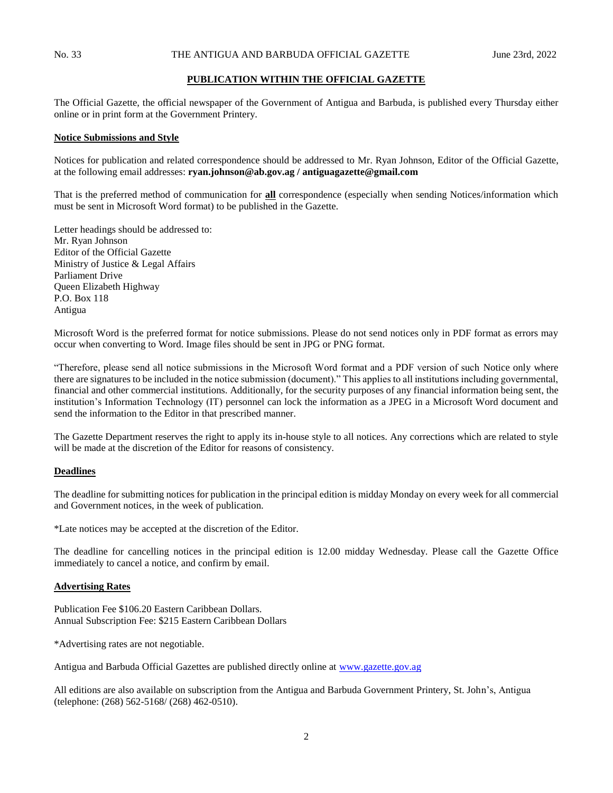# **PUBLICATION WITHIN THE OFFICIAL GAZETTE**

The Official Gazette, the official newspaper of the Government of Antigua and Barbuda, is published every Thursday either online or in print form at the Government Printery.

#### **Notice Submissions and Style**

Notices for publication and related correspondence should be addressed to Mr. Ryan Johnson, Editor of the Official Gazette, at the following email addresses: **ryan.johnson@ab.gov.ag / antiguagazette@gmail.com**

That is the preferred method of communication for **all** correspondence (especially when sending Notices/information which must be sent in Microsoft Word format) to be published in the Gazette.

Letter headings should be addressed to: Mr. Ryan Johnson Editor of the Official Gazette Ministry of Justice & Legal Affairs Parliament Drive Queen Elizabeth Highway P.O. Box 118 Antigua

Microsoft Word is the preferred format for notice submissions. Please do not send notices only in PDF format as errors may occur when converting to Word. Image files should be sent in JPG or PNG format.

"Therefore, please send all notice submissions in the Microsoft Word format and a PDF version of such Notice only where there are signatures to be included in the notice submission (document)." This applies to all institutions including governmental, financial and other commercial institutions. Additionally, for the security purposes of any financial information being sent, the institution's Information Technology (IT) personnel can lock the information as a JPEG in a Microsoft Word document and send the information to the Editor in that prescribed manner.

The Gazette Department reserves the right to apply its in-house style to all notices. Any corrections which are related to style will be made at the discretion of the Editor for reasons of consistency.

## **Deadlines**

The deadline for submitting notices for publication in the principal edition is midday Monday on every week for all commercial and Government notices, in the week of publication.

\*Late notices may be accepted at the discretion of the Editor.

The deadline for cancelling notices in the principal edition is 12.00 midday Wednesday. Please call the Gazette Office immediately to cancel a notice, and confirm by email.

#### **Advertising Rates**

Publication Fee \$106.20 Eastern Caribbean Dollars. Annual Subscription Fee: \$215 Eastern Caribbean Dollars

\*Advertising rates are not negotiable.

Antigua and Barbuda Official Gazettes are published directly online at [www.gazette.gov.ag](http://www.gazette.gov.ag/)

All editions are also available on subscription from the Antigua and Barbuda Government Printery, St. John's, Antigua (telephone: (268) 562-5168/ (268) 462-0510).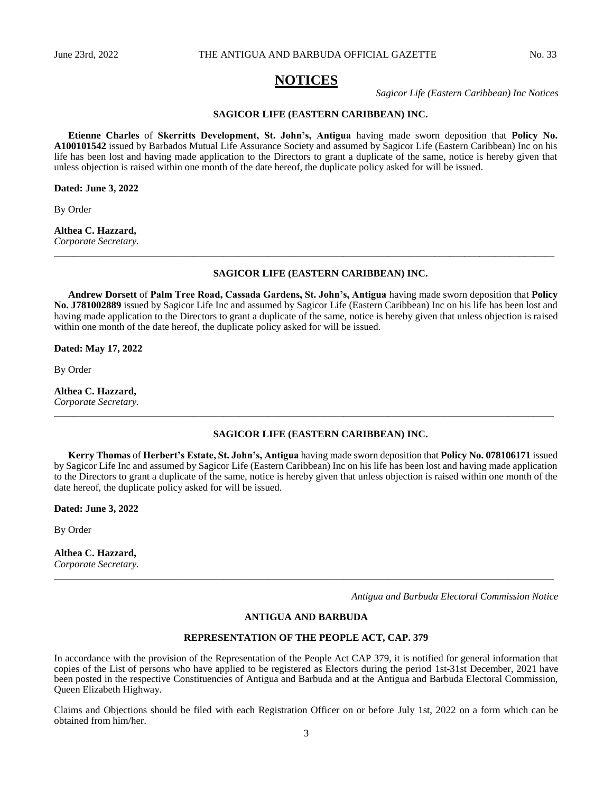# **NOTICES**

*Sagicor Life (Eastern Caribbean) Inc Notices*

#### **SAGICOR LIFE (EASTERN CARIBBEAN) INC.**

**Etienne Charles** of **Skerritts Development, St. John's, Antigua** having made sworn deposition that **Policy No. A100101542** issued by Barbados Mutual Life Assurance Society and assumed by Sagicor Life (Eastern Caribbean) Inc on his life has been lost and having made application to the Directors to grant a duplicate of the same, notice is hereby given that unless objection is raised within one month of the date hereof, the duplicate policy asked for will be issued.

**Dated: June 3, 2022**

By Order

# **Althea C. Hazzard,**

*Corporate Secretary. \_\_\_\_\_\_\_\_\_\_\_\_\_\_\_\_\_\_\_\_\_\_\_\_\_\_\_\_\_\_\_\_\_\_\_\_\_\_\_\_\_\_\_\_\_\_\_\_\_\_\_\_\_\_\_\_\_\_\_\_\_\_\_\_\_\_\_\_\_\_\_\_\_\_\_\_\_\_\_\_\_\_\_\_\_\_\_\_\_\_\_\_\_\_\_\_\_\_\_\_*

#### **SAGICOR LIFE (EASTERN CARIBBEAN) INC.**

**Andrew Dorsett** of **Palm Tree Road, Cassada Gardens, St. John's, Antigua** having made sworn deposition that **Policy No. J781002889** issued by Sagicor Life Inc and assumed by Sagicor Life (Eastern Caribbean) Inc on his life has been lost and having made application to the Directors to grant a duplicate of the same, notice is hereby given that unless objection is raised within one month of the date hereof, the duplicate policy asked for will be issued.

**Dated: May 17, 2022**

By Order

**Althea C. Hazzard,** *Corporate Secretary.*

#### **SAGICOR LIFE (EASTERN CARIBBEAN) INC.**

**Kerry Thomas** of **Herbert's Estate, St. John's, Antigua** having made sworn deposition that **Policy No. 078106171** issued by Sagicor Life Inc and assumed by Sagicor Life (Eastern Caribbean) Inc on his life has been lost and having made application to the Directors to grant a duplicate of the same, notice is hereby given that unless objection is raised within one month of the date hereof, the duplicate policy asked for will be issued.

*\_\_\_\_\_\_\_\_\_\_\_\_\_\_\_\_\_\_\_\_\_\_\_\_\_\_\_\_\_\_\_\_\_\_\_\_\_\_\_\_\_\_\_\_\_\_\_\_\_\_\_\_\_\_\_\_\_\_\_\_\_\_\_\_\_\_\_\_\_\_\_\_\_\_\_\_\_\_\_\_\_\_\_\_\_\_\_\_\_\_\_\_\_\_\_\_\_\_\_\_*

**Dated: June 3, 2022**

By Order

# **Althea C. Hazzard,**

*Corporate Secretary. \_\_\_\_\_\_\_\_\_\_\_\_\_\_\_\_\_\_\_\_\_\_\_\_\_\_\_\_\_\_\_\_\_\_\_\_\_\_\_\_\_\_\_\_\_\_\_\_\_\_\_\_\_\_\_\_\_\_\_\_\_\_\_\_\_\_\_\_\_\_\_\_\_\_\_\_\_\_\_\_\_\_\_\_\_\_\_\_\_\_\_\_\_\_\_\_\_\_\_\_*

*Antigua and Barbuda Electoral Commission Notice*

# **ANTIGUA AND BARBUDA**

# **REPRESENTATION OF THE PEOPLE ACT, CAP. 379**

In accordance with the provision of the Representation of the People Act CAP 379, it is notified for general information that copies of the List of persons who have applied to be registered as Electors during the period 1st-31st December, 2021 have been posted in the respective Constituencies of Antigua and Barbuda and at the Antigua and Barbuda Electoral Commission, Queen Elizabeth Highway.

Claims and Objections should be filed with each Registration Officer on or before July 1st, 2022 on a form which can be obtained from him/her.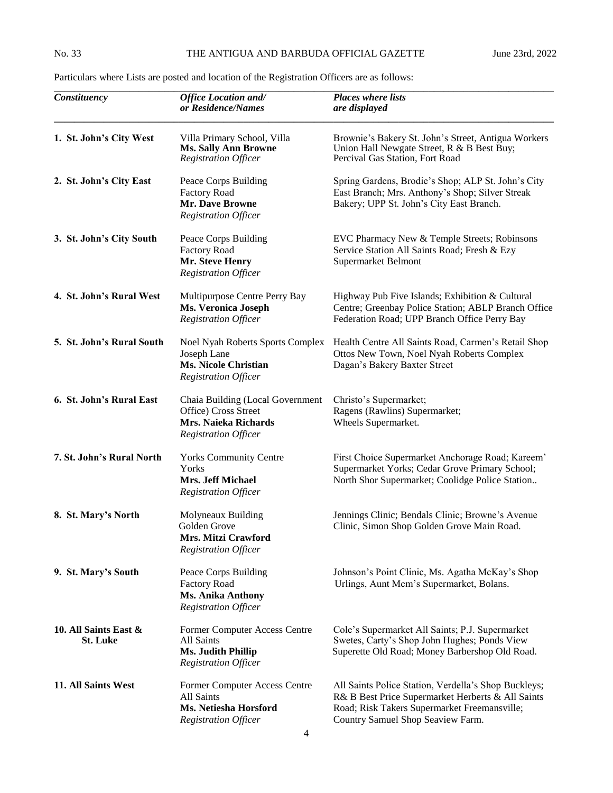| Constituency                             | <b>Office Location and/</b><br>or Residence/Names                                                               | <b>Places where lists</b><br>are displayed                                                                                                                                                     |
|------------------------------------------|-----------------------------------------------------------------------------------------------------------------|------------------------------------------------------------------------------------------------------------------------------------------------------------------------------------------------|
| 1. St. John's City West                  | Villa Primary School, Villa<br><b>Ms. Sally Ann Browne</b><br><b>Registration Officer</b>                       | Brownie's Bakery St. John's Street, Antigua Workers<br>Union Hall Newgate Street, R & B Best Buy;<br>Percival Gas Station, Fort Road                                                           |
| 2. St. John's City East                  | Peace Corps Building<br><b>Factory Road</b><br><b>Mr. Dave Browne</b><br><b>Registration Officer</b>            | Spring Gardens, Brodie's Shop; ALP St. John's City<br>East Branch; Mrs. Anthony's Shop; Silver Streak<br>Bakery; UPP St. John's City East Branch.                                              |
| 3. St. John's City South                 | Peace Corps Building<br><b>Factory Road</b><br>Mr. Steve Henry<br><b>Registration Officer</b>                   | EVC Pharmacy New & Temple Streets; Robinsons<br>Service Station All Saints Road; Fresh & Ezy<br>Supermarket Belmont                                                                            |
| 4. St. John's Rural West                 | Multipurpose Centre Perry Bay<br><b>Ms. Veronica Joseph</b><br><b>Registration Officer</b>                      | Highway Pub Five Islands; Exhibition & Cultural<br>Centre; Greenbay Police Station; ABLP Branch Office<br>Federation Road; UPP Branch Office Perry Bay                                         |
| 5. St. John's Rural South                | Noel Nyah Roberts Sports Complex<br>Joseph Lane<br><b>Ms. Nicole Christian</b><br><b>Registration Officer</b>   | Health Centre All Saints Road, Carmen's Retail Shop<br>Ottos New Town, Noel Nyah Roberts Complex<br>Dagan's Bakery Baxter Street                                                               |
| 6. St. John's Rural East                 | Chaia Building (Local Government<br>Office) Cross Street<br>Mrs. Naieka Richards<br><b>Registration Officer</b> | Christo's Supermarket;<br>Ragens (Rawlins) Supermarket;<br>Wheels Supermarket.                                                                                                                 |
| 7. St. John's Rural North                | <b>Yorks Community Centre</b><br>Yorks<br><b>Mrs. Jeff Michael</b><br><b>Registration Officer</b>               | First Choice Supermarket Anchorage Road; Kareem'<br>Supermarket Yorks; Cedar Grove Primary School;<br>North Shor Supermarket; Coolidge Police Station                                          |
| 8. St. Mary's North                      | Molyneaux Building<br>Golden Grove<br>Mrs. Mitzi Crawford<br><b>Registration Officer</b>                        | Jennings Clinic; Bendals Clinic; Browne's Avenue<br>Clinic, Simon Shop Golden Grove Main Road.                                                                                                 |
| 9. St. Mary's South                      | Peace Corps Building<br><b>Factory Road</b><br><b>Ms. Anika Anthony</b><br><b>Registration Officer</b>          | Johnson's Point Clinic, Ms. Agatha McKay's Shop<br>Urlings, Aunt Mem's Supermarket, Bolans.                                                                                                    |
| 10. All Saints East &<br><b>St. Luke</b> | Former Computer Access Centre<br>All Saints<br>Ms. Judith Phillip<br><b>Registration Officer</b>                | Cole's Supermarket All Saints; P.J. Supermarket<br>Swetes, Carty's Shop John Hughes; Ponds View<br>Superette Old Road; Money Barbershop Old Road.                                              |
| 11. All Saints West                      | Former Computer Access Centre<br>All Saints<br>Ms. Netiesha Horsford<br><b>Registration Officer</b>             | All Saints Police Station, Verdella's Shop Buckleys;<br>R& B Best Price Supermarket Herberts & All Saints<br>Road; Risk Takers Supermarket Freemansville;<br>Country Samuel Shop Seaview Farm. |

Particulars where Lists are posted and location of the Registration Officers are as follows: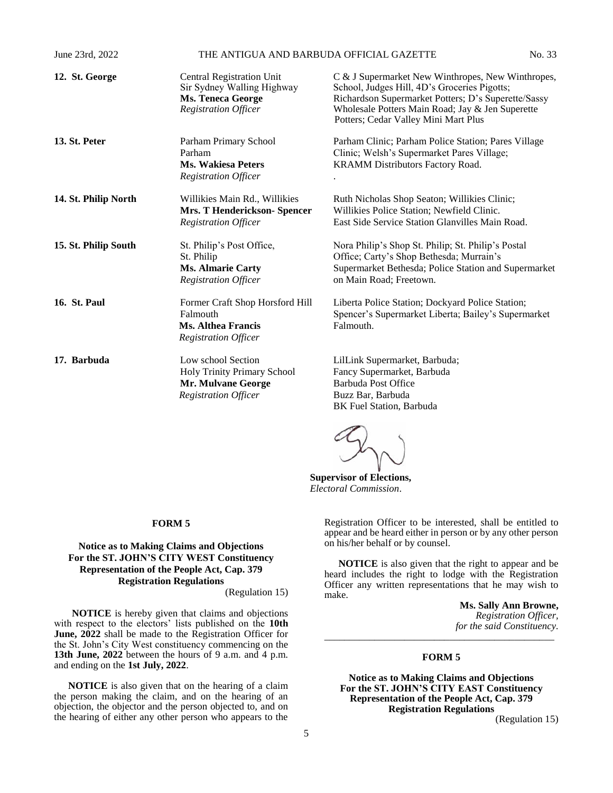| June 23rd, 2022      | THE ANTIGUA AND BARBUDA OFFICIAL GAZETTE                                                                                  |                                                                                                                                                                                                                                                      | No. 33 |
|----------------------|---------------------------------------------------------------------------------------------------------------------------|------------------------------------------------------------------------------------------------------------------------------------------------------------------------------------------------------------------------------------------------------|--------|
| 12. St. George       | <b>Central Registration Unit</b><br>Sir Sydney Walling Highway<br><b>Ms. Teneca George</b><br><b>Registration Officer</b> | C & J Supermarket New Winthropes, New Winthropes,<br>School, Judges Hill, 4D's Groceries Pigotts;<br>Richardson Supermarket Potters; D's Superette/Sassy<br>Wholesale Potters Main Road; Jay & Jen Superette<br>Potters; Cedar Valley Mini Mart Plus |        |
| 13. St. Peter        | Parham Primary School<br>Parham<br><b>Ms. Wakiesa Peters</b><br><b>Registration Officer</b>                               | Parham Clinic; Parham Police Station; Pares Village<br>Clinic; Welsh's Supermarket Pares Village;<br>KRAMM Distributors Factory Road.                                                                                                                |        |
| 14. St. Philip North | Willikies Main Rd., Willikies<br>Mrs. T Henderickson-Spencer<br><b>Registration Officer</b>                               | Ruth Nicholas Shop Seaton; Willikies Clinic;<br>Willikies Police Station; Newfield Clinic.<br>East Side Service Station Glanvilles Main Road.                                                                                                        |        |
| 15. St. Philip South | St. Philip's Post Office,<br>St. Philip<br><b>Ms. Almarie Carty</b><br><b>Registration Officer</b>                        | Nora Philip's Shop St. Philip; St. Philip's Postal<br>Office; Carty's Shop Bethesda; Murrain's<br>Supermarket Bethesda; Police Station and Supermarket<br>on Main Road; Freetown.                                                                    |        |
| <b>16. St. Paul</b>  | Former Craft Shop Horsford Hill<br>Falmouth<br><b>Ms. Althea Francis</b><br><b>Registration Officer</b>                   | Liberta Police Station; Dockyard Police Station;<br>Spencer's Supermarket Liberta; Bailey's Supermarket<br>Falmouth.                                                                                                                                 |        |
| 17. Barbuda          | Low school Section<br>Holy Trinity Primary School<br>Mr. Mulvane George<br><b>Registration Officer</b>                    | LilLink Supermarket, Barbuda;<br>Fancy Supermarket, Barbuda<br><b>Barbuda Post Office</b><br>Buzz Bar, Barbuda<br>BK Fuel Station, Barbuda                                                                                                           |        |

# **Supervisor of Elections,** *Electoral Commission*.

#### **FORM 5**

# **Notice as to Making Claims and Objections For the ST. JOHN'S CITY WEST Constituency Representation of the People Act, Cap. 379 Registration Regulations**

(Regulation 15)

**NOTICE** is hereby given that claims and objections with respect to the electors' lists published on the **10th June, 2022** shall be made to the Registration Officer for the St. John's City West constituency commencing on the **13th June, 2022** between the hours of 9 a.m. and 4 p.m. and ending on the **1st July, 2022**.

**NOTICE** is also given that on the hearing of a claim the person making the claim, and on the hearing of an objection, the objector and the person objected to, and on the hearing of either any other person who appears to the

Registration Officer to be interested, shall be entitled to appear and be heard either in person or by any other person on his/her behalf or by counsel.

**NOTICE** is also given that the right to appear and be heard includes the right to lodge with the Registration Officer any written representations that he may wish to make.

**Ms. Sally Ann Browne,** *Registration Officer, for the said Constituency.* \_\_\_\_\_\_\_\_\_\_\_\_\_\_\_\_\_\_\_\_\_\_\_\_\_\_\_\_\_\_\_\_\_\_\_\_\_\_\_\_\_\_\_\_\_\_

#### **FORM 5**

**Notice as to Making Claims and Objections For the ST. JOHN'S CITY EAST Constituency Representation of the People Act, Cap. 379 Registration Regulations**

(Regulation 15)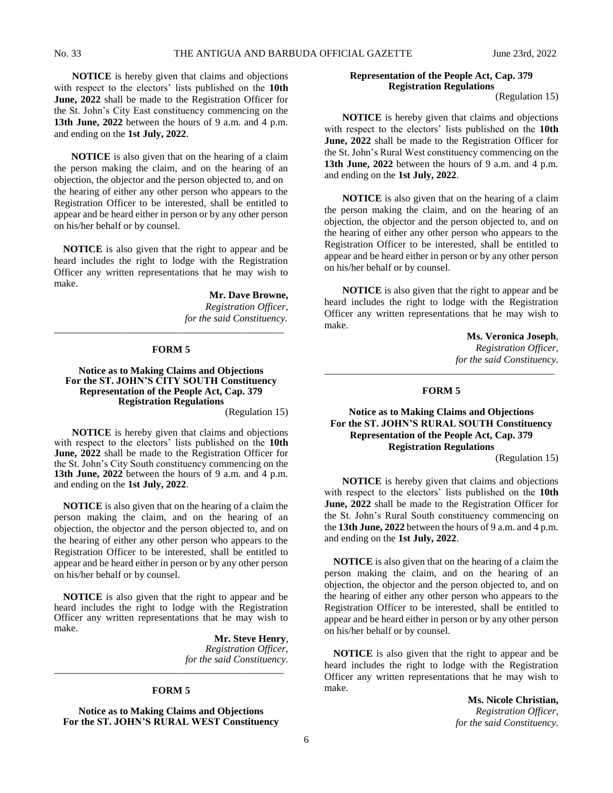**NOTICE** is hereby given that claims and objections with respect to the electors' lists published on the **10th June, 2022** shall be made to the Registration Officer for the St. John's City East constituency commencing on the **13th June, 2022** between the hours of 9 a.m. and 4 p.m. and ending on the **1st July, 2022**.

 **NOTICE** is also given that on the hearing of a claim the person making the claim, and on the hearing of an objection, the objector and the person objected to, and on the hearing of either any other person who appears to the Registration Officer to be interested, shall be entitled to appear and be heard either in person or by any other person on his/her behalf or by counsel.

**NOTICE** is also given that the right to appear and be heard includes the right to lodge with the Registration Officer any written representations that he may wish to make.

> **Mr. Dave Browne,** *Registration Officer, for the said Constituency.*

#### **FORM 5**

\_\_\_\_\_\_\_\_\_\_\_\_\_\_\_\_\_\_\_\_\_\_\_\_\_\_\_\_\_\_\_\_\_\_\_\_\_\_\_\_\_\_\_\_\_\_

# **Notice as to Making Claims and Objections For the ST. JOHN'S CITY SOUTH Constituency Representation of the People Act, Cap. 379 Registration Regulations**

(Regulation 15)

**NOTICE** is hereby given that claims and objections with respect to the electors' lists published on the **10th June, 2022** shall be made to the Registration Officer for the St. John's City South constituency commencing on the **13th June, 2022** between the hours of 9 a.m. and 4 p.m. and ending on the **1st July, 2022**.

**NOTICE** is also given that on the hearing of a claim the person making the claim, and on the hearing of an objection, the objector and the person objected to, and on the hearing of either any other person who appears to the Registration Officer to be interested, shall be entitled to appear and be heard either in person or by any other person on his/her behalf or by counsel.

**NOTICE** is also given that the right to appear and be heard includes the right to lodge with the Registration Officer any written representations that he may wish to make.

> **Mr. Steve Henry**, *Registration Officer, for the said Constituency.*

#### **FORM 5**

\_\_\_\_\_\_\_\_\_\_\_\_\_\_\_\_\_\_\_\_\_\_\_\_\_\_\_\_\_\_\_\_\_\_\_\_\_\_\_\_\_\_\_\_\_\_

**Notice as to Making Claims and Objections For the ST. JOHN'S RURAL WEST Constituency**

### **Representation of the People Act, Cap. 379 Registration Regulations**

(Regulation 15)

**NOTICE** is hereby given that claims and objections with respect to the electors' lists published on the **10th June, 2022** shall be made to the Registration Officer for the St. John's Rural West constituency commencing on the **13th June, 2022** between the hours of 9 a.m. and 4 p.m. and ending on the **1st July, 2022**.

**NOTICE** is also given that on the hearing of a claim the person making the claim, and on the hearing of an objection, the objector and the person objected to, and on the hearing of either any other person who appears to the Registration Officer to be interested, shall be entitled to appear and be heard either in person or by any other person on his/her behalf or by counsel.

**NOTICE** is also given that the right to appear and be heard includes the right to lodge with the Registration Officer any written representations that he may wish to make.

> **Ms. Veronica Joseph**, *Registration Officer, for the said Constituency.*

#### **FORM 5**

\_\_\_\_\_\_\_\_\_\_\_\_\_\_\_\_\_\_\_\_\_\_\_\_\_\_\_\_\_\_\_\_\_\_\_\_\_\_\_\_\_\_\_\_\_\_

# **Notice as to Making Claims and Objections For the ST. JOHN'S RURAL SOUTH Constituency Representation of the People Act, Cap. 379 Registration Regulations**

(Regulation 15)

**NOTICE** is hereby given that claims and objections with respect to the electors' lists published on the **10th June, 2022** shall be made to the Registration Officer for the St. John's Rural South constituency commencing on the **13th June, 2022** between the hours of 9 a.m. and 4 p.m. and ending on the **1st July, 2022**.

**NOTICE** is also given that on the hearing of a claim the person making the claim, and on the hearing of an objection, the objector and the person objected to, and on the hearing of either any other person who appears to the Registration Officer to be interested, shall be entitled to appear and be heard either in person or by any other person on his/her behalf or by counsel.

**NOTICE** is also given that the right to appear and be heard includes the right to lodge with the Registration Officer any written representations that he may wish to make.

> **Ms. Nicole Christian,** *Registration Officer, for the said Constituency.*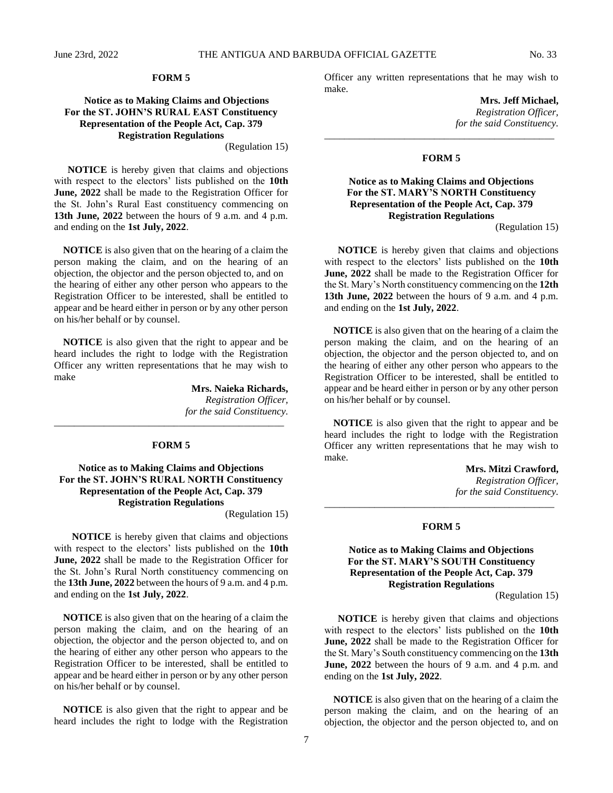# **FORM 5**

# **Notice as to Making Claims and Objections For the ST. JOHN'S RURAL EAST Constituency Representation of the People Act, Cap. 379 Registration Regulations**

(Regulation 15)

**NOTICE** is hereby given that claims and objections with respect to the electors' lists published on the **10th June, 2022** shall be made to the Registration Officer for the St. John's Rural East constituency commencing on **13th June, 2022** between the hours of 9 a.m. and 4 p.m. and ending on the **1st July, 2022**.

**NOTICE** is also given that on the hearing of a claim the person making the claim, and on the hearing of an objection, the objector and the person objected to, and on the hearing of either any other person who appears to the Registration Officer to be interested, shall be entitled to appear and be heard either in person or by any other person on his/her behalf or by counsel.

**NOTICE** is also given that the right to appear and be heard includes the right to lodge with the Registration Officer any written representations that he may wish to make

> **Mrs. Naieka Richards,** *Registration Officer, for the said Constituency.*

#### **FORM 5**

\_\_\_\_\_\_\_\_\_\_\_\_\_\_\_\_\_\_\_\_\_\_\_\_\_\_\_\_\_\_\_\_\_\_\_\_\_\_\_\_\_\_\_\_\_\_

# **Notice as to Making Claims and Objections For the ST. JOHN'S RURAL NORTH Constituency Representation of the People Act, Cap. 379 Registration Regulations**

(Regulation 15)

**NOTICE** is hereby given that claims and objections with respect to the electors' lists published on the **10th June, 2022** shall be made to the Registration Officer for the St. John's Rural North constituency commencing on the **13th June, 2022** between the hours of 9 a.m. and 4 p.m. and ending on the **1st July, 2022**.

**NOTICE** is also given that on the hearing of a claim the person making the claim, and on the hearing of an objection, the objector and the person objected to, and on the hearing of either any other person who appears to the Registration Officer to be interested, shall be entitled to appear and be heard either in person or by any other person on his/her behalf or by counsel.

**NOTICE** is also given that the right to appear and be heard includes the right to lodge with the Registration Officer any written representations that he may wish to make.

> **Mrs. Jeff Michael,** *Registration Officer, for the said Constituency.*

#### **FORM 5**

\_\_\_\_\_\_\_\_\_\_\_\_\_\_\_\_\_\_\_\_\_\_\_\_\_\_\_\_\_\_\_\_\_\_\_\_\_\_\_\_\_\_\_\_\_\_

# **Notice as to Making Claims and Objections For the ST. MARY'S NORTH Constituency Representation of the People Act, Cap. 379 Registration Regulations**

(Regulation 15)

**NOTICE** is hereby given that claims and objections with respect to the electors' lists published on the **10th June, 2022** shall be made to the Registration Officer for the St. Mary's North constituency commencing on the **12th 13th June, 2022** between the hours of 9 a.m. and 4 p.m. and ending on the **1st July, 2022**.

**NOTICE** is also given that on the hearing of a claim the person making the claim, and on the hearing of an objection, the objector and the person objected to, and on the hearing of either any other person who appears to the Registration Officer to be interested, shall be entitled to appear and be heard either in person or by any other person on his/her behalf or by counsel.

**NOTICE** is also given that the right to appear and be heard includes the right to lodge with the Registration Officer any written representations that he may wish to make.

> **Mrs. Mitzi Crawford,** *Registration Officer, for the said Constituency.*

#### **FORM 5**

\_\_\_\_\_\_\_\_\_\_\_\_\_\_\_\_\_\_\_\_\_\_\_\_\_\_\_\_\_\_\_\_\_\_\_\_\_\_\_\_\_\_\_\_\_\_

# **Notice as to Making Claims and Objections For the ST. MARY'S SOUTH Constituency Representation of the People Act, Cap. 379 Registration Regulations**

(Regulation 15)

**NOTICE** is hereby given that claims and objections with respect to the electors' lists published on the **10th June, 2022** shall be made to the Registration Officer for the St. Mary's South constituency commencing on the **13th June, 2022** between the hours of 9 a.m. and 4 p.m. and ending on the **1st July, 2022**.

**NOTICE** is also given that on the hearing of a claim the person making the claim, and on the hearing of an objection, the objector and the person objected to, and on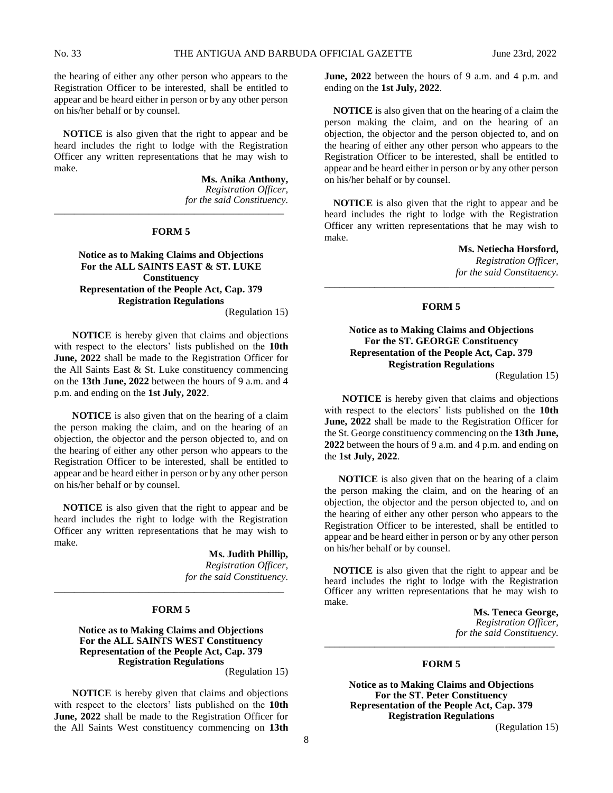the hearing of either any other person who appears to the Registration Officer to be interested, shall be entitled to appear and be heard either in person or by any other person on his/her behalf or by counsel.

**NOTICE** is also given that the right to appear and be heard includes the right to lodge with the Registration Officer any written representations that he may wish to make.

> **Ms. Anika Anthony,** *Registration Officer, for the said Constituency.*

#### **FORM 5**

\_\_\_\_\_\_\_\_\_\_\_\_\_\_\_\_\_\_\_\_\_\_\_\_\_\_\_\_\_\_\_\_\_\_\_\_\_\_\_\_\_\_\_\_\_\_

**Notice as to Making Claims and Objections For the ALL SAINTS EAST & ST. LUKE Constituency Representation of the People Act, Cap. 379 Registration Regulations**

(Regulation 15)

**NOTICE** is hereby given that claims and objections with respect to the electors' lists published on the **10th June, 2022** shall be made to the Registration Officer for the All Saints East & St. Luke constituency commencing on the **13th June, 2022** between the hours of 9 a.m. and 4 p.m. and ending on the **1st July, 2022**.

**NOTICE** is also given that on the hearing of a claim the person making the claim, and on the hearing of an objection, the objector and the person objected to, and on the hearing of either any other person who appears to the Registration Officer to be interested, shall be entitled to appear and be heard either in person or by any other person on his/her behalf or by counsel.

**NOTICE** is also given that the right to appear and be heard includes the right to lodge with the Registration Officer any written representations that he may wish to make.

> **Ms. Judith Phillip,** *Registration Officer, for the said Constituency.*

#### **FORM 5**

\_\_\_\_\_\_\_\_\_\_\_\_\_\_\_\_\_\_\_\_\_\_\_\_\_\_\_\_\_\_\_\_\_\_\_\_\_\_\_\_\_\_\_\_\_\_

#### **Notice as to Making Claims and Objections For the ALL SAINTS WEST Constituency Representation of the People Act, Cap. 379 Registration Regulations** (Regulation 15)

**NOTICE** is hereby given that claims and objections with respect to the electors' lists published on the **10th June, 2022** shall be made to the Registration Officer for the All Saints West constituency commencing on **13th**  **June, 2022** between the hours of 9 a.m. and 4 p.m. and ending on the **1st July, 2022**.

**NOTICE** is also given that on the hearing of a claim the person making the claim, and on the hearing of an objection, the objector and the person objected to, and on the hearing of either any other person who appears to the Registration Officer to be interested, shall be entitled to appear and be heard either in person or by any other person on his/her behalf or by counsel.

**NOTICE** is also given that the right to appear and be heard includes the right to lodge with the Registration Officer any written representations that he may wish to make.

> **Ms. Netiecha Horsford,** *Registration Officer, for the said Constituency.*

#### **FORM 5**

\_\_\_\_\_\_\_\_\_\_\_\_\_\_\_\_\_\_\_\_\_\_\_\_\_\_\_\_\_\_\_\_\_\_\_\_\_\_\_\_\_\_\_\_\_\_

# **Notice as to Making Claims and Objections For the ST. GEORGE Constituency Representation of the People Act, Cap. 379 Registration Regulations**

(Regulation 15)

**NOTICE** is hereby given that claims and objections with respect to the electors' lists published on the **10th June, 2022** shall be made to the Registration Officer for the St. George constituency commencing on the **13th June, 2022** between the hours of 9 a.m. and 4 p.m. and ending on the **1st July, 2022**.

**NOTICE** is also given that on the hearing of a claim the person making the claim, and on the hearing of an objection, the objector and the person objected to, and on the hearing of either any other person who appears to the Registration Officer to be interested, shall be entitled to appear and be heard either in person or by any other person on his/her behalf or by counsel.

**NOTICE** is also given that the right to appear and be heard includes the right to lodge with the Registration Officer any written representations that he may wish to make.

**Ms. Teneca George,** *Registration Officer, for the said Constituency.* \_\_\_\_\_\_\_\_\_\_\_\_\_\_\_\_\_\_\_\_\_\_\_\_\_\_\_\_\_\_\_\_\_\_\_\_\_\_\_\_\_\_\_\_\_\_

# **FORM 5**

**Notice as to Making Claims and Objections For the ST. Peter Constituency Representation of the People Act, Cap. 379 Registration Regulations** (Regulation 15)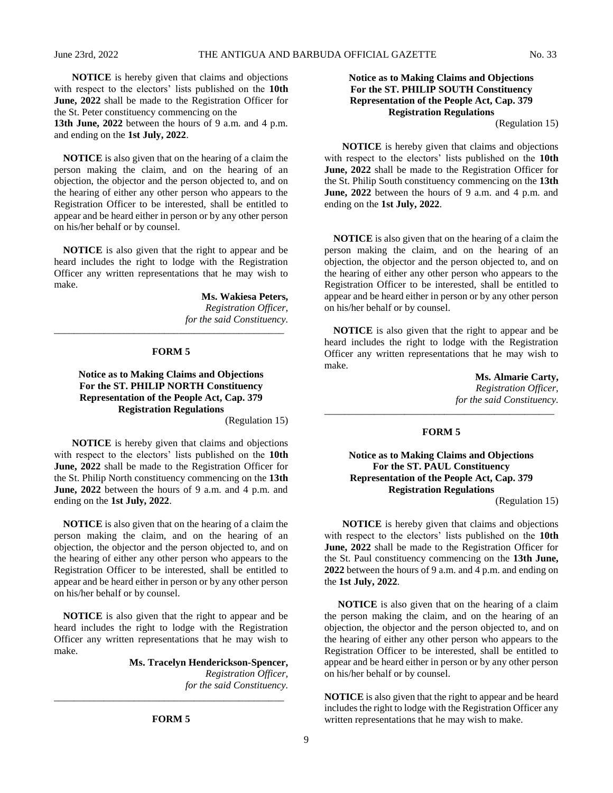**NOTICE** is hereby given that claims and objections with respect to the electors' lists published on the **10th June, 2022** shall be made to the Registration Officer for the St. Peter constituency commencing on the

**13th June, 2022** between the hours of 9 a.m. and 4 p.m. and ending on the **1st July, 2022**.

**NOTICE** is also given that on the hearing of a claim the person making the claim, and on the hearing of an objection, the objector and the person objected to, and on the hearing of either any other person who appears to the Registration Officer to be interested, shall be entitled to appear and be heard either in person or by any other person on his/her behalf or by counsel.

**NOTICE** is also given that the right to appear and be heard includes the right to lodge with the Registration Officer any written representations that he may wish to make.

> **Ms. Wakiesa Peters,** *Registration Officer, for the said Constituency.*

#### **FORM 5**

\_\_\_\_\_\_\_\_\_\_\_\_\_\_\_\_\_\_\_\_\_\_\_\_\_\_\_\_\_\_\_\_\_\_\_\_\_\_\_\_\_\_\_\_\_\_

# **Notice as to Making Claims and Objections For the ST. PHILIP NORTH Constituency Representation of the People Act, Cap. 379 Registration Regulations**

(Regulation 15)

**NOTICE** is hereby given that claims and objections with respect to the electors' lists published on the **10th June, 2022** shall be made to the Registration Officer for the St. Philip North constituency commencing on the **13th June, 2022** between the hours of 9 a.m. and 4 p.m. and ending on the **1st July, 2022**.

**NOTICE** is also given that on the hearing of a claim the person making the claim, and on the hearing of an objection, the objector and the person objected to, and on the hearing of either any other person who appears to the Registration Officer to be interested, shall be entitled to appear and be heard either in person or by any other person on his/her behalf or by counsel.

**NOTICE** is also given that the right to appear and be heard includes the right to lodge with the Registration Officer any written representations that he may wish to make.

> **Ms. Tracelyn Henderickson-Spencer,** *Registration Officer, for the said Constituency.*

> > **FORM 5**

\_\_\_\_\_\_\_\_\_\_\_\_\_\_\_\_\_\_\_\_\_\_\_\_\_\_\_\_\_\_\_\_\_\_\_\_\_\_\_\_\_\_\_\_\_\_

# **Notice as to Making Claims and Objections For the ST. PHILIP SOUTH Constituency Representation of the People Act, Cap. 379 Registration Regulations**

(Regulation 15)

**NOTICE** is hereby given that claims and objections with respect to the electors' lists published on the **10th June, 2022** shall be made to the Registration Officer for the St. Philip South constituency commencing on the **13th June, 2022** between the hours of 9 a.m. and 4 p.m. and ending on the **1st July, 2022**.

**NOTICE** is also given that on the hearing of a claim the person making the claim, and on the hearing of an objection, the objector and the person objected to, and on the hearing of either any other person who appears to the Registration Officer to be interested, shall be entitled to appear and be heard either in person or by any other person on his/her behalf or by counsel.

**NOTICE** is also given that the right to appear and be heard includes the right to lodge with the Registration Officer any written representations that he may wish to make.

> **Ms. Almarie Carty,** *Registration Officer, for the said Constituency.*

# **FORM 5**

\_\_\_\_\_\_\_\_\_\_\_\_\_\_\_\_\_\_\_\_\_\_\_\_\_\_\_\_\_\_\_\_\_\_\_\_\_\_\_\_\_\_\_\_\_\_

# **Notice as to Making Claims and Objections For the ST. PAUL Constituency Representation of the People Act, Cap. 379 Registration Regulations**

(Regulation 15)

**NOTICE** is hereby given that claims and objections with respect to the electors' lists published on the **10th June, 2022** shall be made to the Registration Officer for the St. Paul constituency commencing on the **13th June, 2022** between the hours of 9 a.m. and 4 p.m. and ending on the **1st July, 2022**.

**NOTICE** is also given that on the hearing of a claim the person making the claim, and on the hearing of an objection, the objector and the person objected to, and on the hearing of either any other person who appears to the Registration Officer to be interested, shall be entitled to appear and be heard either in person or by any other person on his/her behalf or by counsel.

**NOTICE** is also given that the right to appear and be heard includes the right to lodge with the Registration Officer any written representations that he may wish to make.